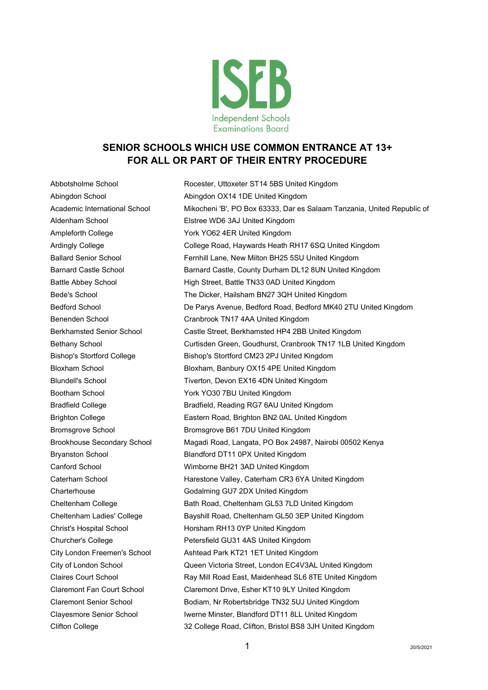

## **SENIOR SCHOOLS WHICH USE COMMON ENTRANCE AT 13+ FOR ALL OR PART OF THEIR ENTRY PROCEDURE**

Abbotsholme School Rocester, Uttoxeter ST14 5BS United Kingdom Abingdon School Abingdon OX14 1DE United Kingdom Academic International School Mikocheni 'B', PO Box 63333, Dar es Salaam Tanzania, United Republic of Aldenham School Elstree WD6 3AJ United Kingdom Ampleforth College York YO62 4ER United Kingdom Ardingly College College Road, Haywards Heath RH17 6SQ United Kingdom Ballard Senior School Fernhill Lane, New Milton BH25 5SU United Kingdom Barnard Castle School **Barnard Castle, County Durham DL12 8UN United Kingdom** Battle Abbey School **High Street, Battle TN33 0AD United Kingdom** Bede's School The Dicker, Hailsham BN27 3QH United Kingdom Bedford School **De Parys Avenue, Bedford Road, Bedford MK40 2TU United Kingdom** Benenden School Cranbrook TN17 4AA United Kingdom Berkhamsted Senior School Castle Street, Berkhamsted HP4 2BB United Kingdom Bethany School Curtisden Green, Goudhurst, Cranbrook TN17 1LB United Kingdom Bishop's Stortford College Bishop's Stortford CM23 2PJ United Kingdom Bloxham School Bloxham, Banbury OX15 4PE United Kingdom Blundell's School **Tiverton, Devon EX16 4DN United Kingdom** Bootham School York YO30 7BU United Kingdom Bradfield College **Bradfield, Reading RG7 6AU United Kingdom** Brighton College Eastern Road, Brighton BN2 0AL United Kingdom Bromsgrove School Bromsgrove B61 7DU United Kingdom Brookhouse Secondary School Magadi Road, Langata, PO Box 24987, Nairobi 00502 Kenya Bryanston School Blandford DT11 0PX United Kingdom Canford School Wimborne BH21 3AD United Kingdom Caterham School Harestone Valley, Caterham CR3 6YA United Kingdom Charterhouse Godalming GU7 2DX United Kingdom Cheltenham College Bath Road, Cheltenham GL53 7LD United Kingdom Cheltenham Ladies' College Bayshill Road, Cheltenham GL50 3EP United Kingdom Christ's Hospital School Horsham RH13 0YP United Kingdom Churcher's College **Petersfield GU31 4AS United Kingdom** City London Freemen's School Ashtead Park KT21 1ET United Kingdom City of London School Queen Victoria Street, London EC4V3AL United Kingdom Claires Court School Ray Mill Road East, Maidenhead SL6 8TE United Kingdom Claremont Fan Court School Claremont Drive, Esher KT10 9LY United Kingdom Claremont Senior School Bodiam, Nr Robertsbridge TN32 5UJ United Kingdom Clayesmore Senior School Iwerne Minster, Blandford DT11 8LL United Kingdom Clifton College 32 College Road, Clifton, Bristol BS8 3JH United Kingdom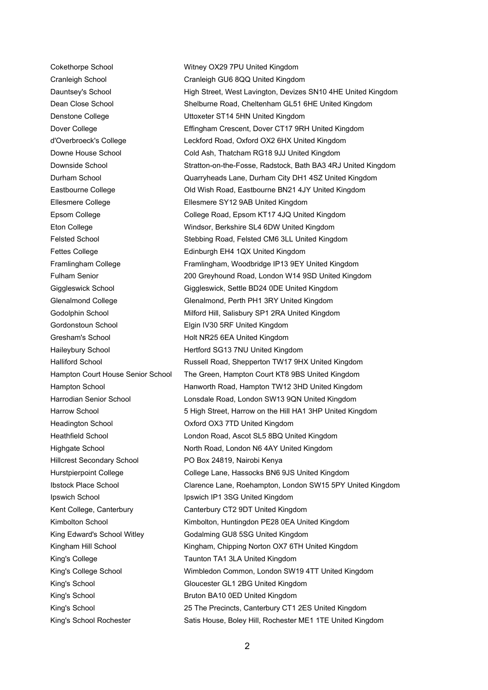Cranleigh School Cranleigh GU6 8QQ United Kingdom Denstone College **National Exercise ST14 5HN United Kingdom** Ellesmere College Ellesmere SY12 9AB United Kingdom Fettes College **Edinburgh EH4 1QX United Kingdom** Gordonstoun School Elgin IV30 5RF United Kingdom Gresham's School **Holt NR25 6EA United Kingdom** Haileybury School **Hertford SG13 7NU United Kingdom** Headington School **National Common Contract OX3 7TD United Kingdom** Hillcrest Secondary School PO Box 24819, Nairobi Kenya Ipswich School **Ipswich IP1 3SG United Kingdom** Kent College, Canterbury Canterbury CT2 9DT United Kingdom King Edward's School Witley Godalming GU8 5SG United Kingdom King's College Taunton TA1 3LA United Kingdom King's School Gloucester GL1 2BG United Kingdom King's School **BRUT BRUT BA10 0ED United Kingdom** 

Cokethorpe School Witney OX29 7PU United Kingdom Dauntsey's School **High Street, West Lavington, Devizes SN10 4HE United Kingdom** Dean Close School Shelburne Road, Cheltenham GL51 6HE United Kingdom Dover College Effingham Crescent, Dover CT17 9RH United Kingdom d'Overbroeck's College Leckford Road, Oxford OX2 6HX United Kingdom Downe House School Cold Ash, Thatcham RG18 9JJ United Kingdom Downside School Stratton-on-the-Fosse, Radstock, Bath BA3 4RJ United Kingdom Durham School Quarryheads Lane, Durham City DH1 4SZ United Kingdom Eastbourne College Old Wish Road, Eastbourne BN21 4JY United Kingdom Epsom College College Road, Epsom KT17 4JQ United Kingdom Eton College Windsor, Berkshire SL4 6DW United Kingdom Felsted School Stebbing Road, Felsted CM6 3LL United Kingdom Framlingham College **Framlingham, Woodbridge IP13 9EY United Kingdom** Fulham Senior 200 Greyhound Road, London W14 9SD United Kingdom Giggleswick School Giggleswick, Settle BD24 0DE United Kingdom Glenalmond College Glenalmond, Perth PH1 3RY United Kingdom Godolphin School Milford Hill, Salisbury SP1 2RA United Kingdom Halliford School **Russell Road, Shepperton TW17 9HX United Kingdom** Hampton Court House Senior School The Green, Hampton Court KT8 9BS United Kingdom Hampton School Hanworth Road, Hampton TW12 3HD United Kingdom Harrodian Senior School Lonsdale Road, London SW13 9QN United Kingdom Harrow School 5 High Street, Harrow on the Hill HA1 3HP United Kingdom Heathfield School London Road, Ascot SL5 8BQ United Kingdom Highgate School North Road, London N6 4AY United Kingdom Hurstpierpoint College College Lane, Hassocks BN6 9JS United Kingdom Ibstock Place School Clarence Lane, Roehampton, London SW15 5PY United Kingdom Kimbolton School **Kimbolton, Huntingdon PE28 0EA United Kingdom** Kingham Hill School **Kingham, Chipping Norton OX7 6TH United Kingdom** King's College School Wimbledon Common, London SW19 4TT United Kingdom King's School 25 The Precincts, Canterbury CT1 2ES United Kingdom King's School Rochester Satis House, Boley Hill, Rochester ME1 1TE United Kingdom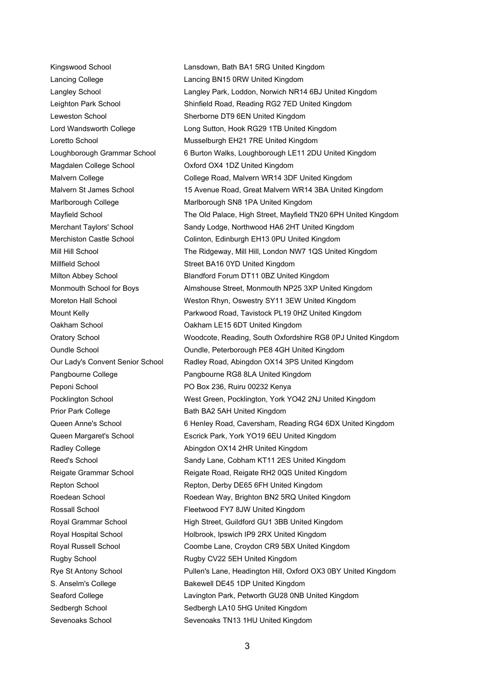Magdalen College School Oxford OX4 1DZ United Kingdom Millfield School Street BA16 0YD United Kingdom Peponi School Po Box 236, Ruiru 00232 Kenya Prior Park College Bath BA2 5AH United Kingdom Rugby School **Rugby CV22 5EH United Kingdom** Sevenoaks School Sevenoaks TN13 1HU United Kingdom

Kingswood School **Lansdown, Bath BA1 5RG United Kingdom** Lancing College Lancing BN15 0RW United Kingdom Langley School **Langley Park, Loddon, Norwich NR14 6BJ United Kingdom** Leighton Park School Shinfield Road, Reading RG2 7ED United Kingdom Leweston School School Sherborne DT9 6EN United Kingdom Lord Wandsworth College Long Sutton, Hook RG29 1TB United Kingdom Loretto School **Musselburgh EH21 7RE United Kingdom** Loughborough Grammar School 6 Burton Walks, Loughborough LE11 2DU United Kingdom Malvern College **College Road, Malvern WR14 3DF United Kingdom** Malvern St James School 15 Avenue Road, Great Malvern WR14 3BA United Kingdom Marlborough College Marlborough SN8 1PA United Kingdom Mayfield School The Old Palace, High Street, Mayfield TN20 6PH United Kingdom Merchant Taylors' School Sandy Lodge, Northwood HA6 2HT United Kingdom Merchiston Castle School Colinton, Edinburgh EH13 0PU United Kingdom Mill Hill School The Ridgeway, Mill Hill, London NW7 1QS United Kingdom Milton Abbey School Blandford Forum DT11 0BZ United Kingdom Monmouth School for Boys **Almshouse Street, Monmouth NP25 3XP United Kingdom** Moreton Hall School Weston Rhyn, Oswestry SY11 3EW United Kingdom Mount Kelly Parkwood Road, Tavistock PL19 0HZ United Kingdom Oakham School Oakham LE15 6DT United Kingdom Oratory School Woodcote, Reading, South Oxfordshire RG8 0PJ United Kingdom Oundle School Oundle, Peterborough PE8 4GH United Kingdom Our Lady's Convent Senior School Radley Road, Abingdon OX14 3PS United Kingdom Pangbourne College Pangbourne RG8 8LA United Kingdom Pocklington School West Green, Pocklington, York YO42 2NJ United Kingdom Queen Anne's School 6 Henley Road, Caversham, Reading RG4 6DX United Kingdom Queen Margaret's School Escrick Park, York YO19 6EU United Kingdom Radley College **Abingdon OX14 2HR United Kingdom** Reed's School Sandy Lane, Cobham KT11 2ES United Kingdom Reigate Grammar School **Reigate Road, Reigate RH2 0QS United Kingdom** Repton School Repton, Derby DE65 6FH United Kingdom Roedean School **Roedean Way, Brighton BN2 5RQ United Kingdom** Rossall School **Fleetwood FY7 8JW United Kingdom** Royal Grammar School High Street, Guildford GU1 3BB United Kingdom Royal Hospital School **Holbrook, Ipswich IP9 2RX United Kingdom** Royal Russell School Coombe Lane, Croydon CR9 5BX United Kingdom Rye St Antony School Pullen's Lane, Headington Hill, Oxford OX3 0BY United Kingdom S. Anselm's College **Bakewell DE45 1DP United Kingdom** Seaford College **Lavington Park, Petworth GU28 0NB United Kingdom** Sedbergh School Sedbergh LA10 5HG United Kingdom